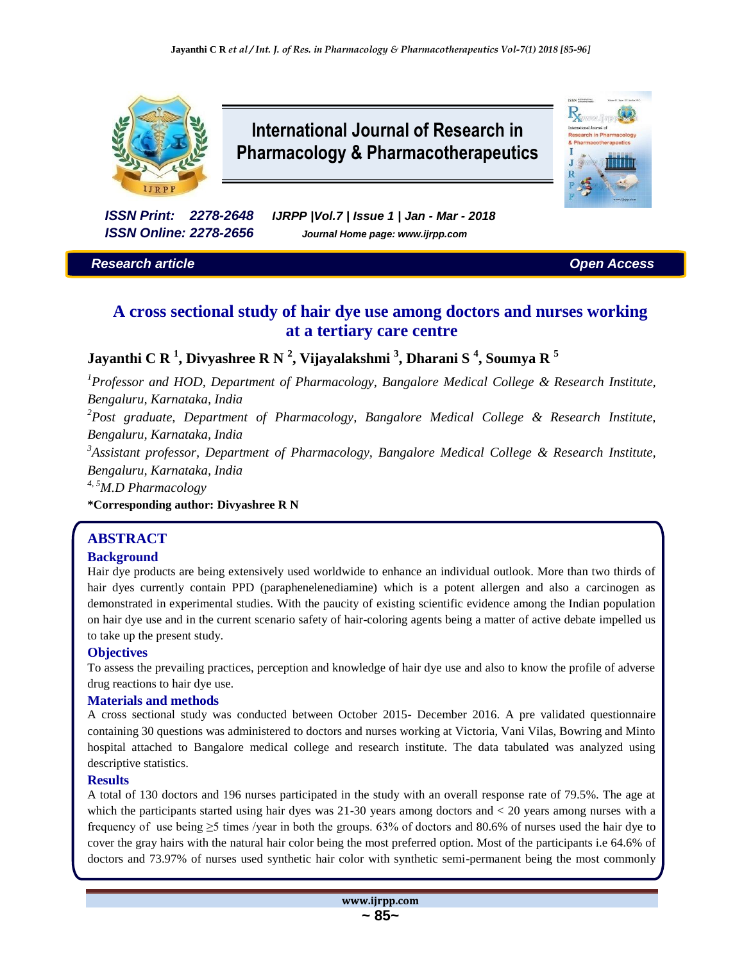

# **International Journal of Research in Pharmacology & Pharmacotherapeutics**

 $R_{x}$ 

**CCN** PARK

*ISSN Print: 2278-2648 IJRPP |Vol.7 | Issue 1 | Jan - Mar - 2018 ISSN Online: 2278-2656 Journal Home page: www.ijrpp.com*

## *Research article Open Access*

## **A cross sectional study of hair dye use among doctors and nurses working at a tertiary care centre**

**Jayanthi C R <sup>1</sup> , Divyashree R N <sup>2</sup> , Vijayalakshmi <sup>3</sup> , Dharani S <sup>4</sup> , Soumya R <sup>5</sup>**

*<sup>1</sup>Professor and HOD, Department of Pharmacology, Bangalore Medical College & Research Institute, Bengaluru, Karnataka, India*

*<sup>2</sup>Post graduate, Department of Pharmacology, Bangalore Medical College & Research Institute, Bengaluru, Karnataka, India*

*3 Assistant professor, Department of Pharmacology, Bangalore Medical College & Research Institute, Bengaluru, Karnataka, India* 

*4, 5M.D Pharmacology*

**\*Corresponding author: Divyashree R N**

## **ABSTRACT**

## **Background**

Hair dye products are being extensively used worldwide to enhance an individual outlook. More than two thirds of hair dyes currently contain PPD (paraphenelenediamine) which is a potent allergen and also a carcinogen as demonstrated in experimental studies. With the paucity of existing scientific evidence among the Indian population on hair dye use and in the current scenario safety of hair-coloring agents being a matter of active debate impelled us to take up the present study.

### **Objectives**

To assess the prevailing practices, perception and knowledge of hair dye use and also to know the profile of adverse drug reactions to hair dye use.

#### **Materials and methods**

A cross sectional study was conducted between October 2015- December 2016. A pre validated questionnaire containing 30 questions was administered to doctors and nurses working at Victoria, Vani Vilas, Bowring and Minto hospital attached to Bangalore medical college and research institute. The data tabulated was analyzed using descriptive statistics.

#### **Results**

A total of 130 doctors and 196 nurses participated in the study with an overall response rate of 79.5%. The age at which the participants started using hair dyes was 21-30 years among doctors and < 20 years among nurses with a frequency of use being  $\geq$ 5 times /year in both the groups. 63% of doctors and 80.6% of nurses used the hair dye to cover the gray hairs with the natural hair color being the most preferred option. Most of the participants i.e 64.6% of doctors and 73.97% of nurses used synthetic hair color with synthetic semi-permanent being the most commonly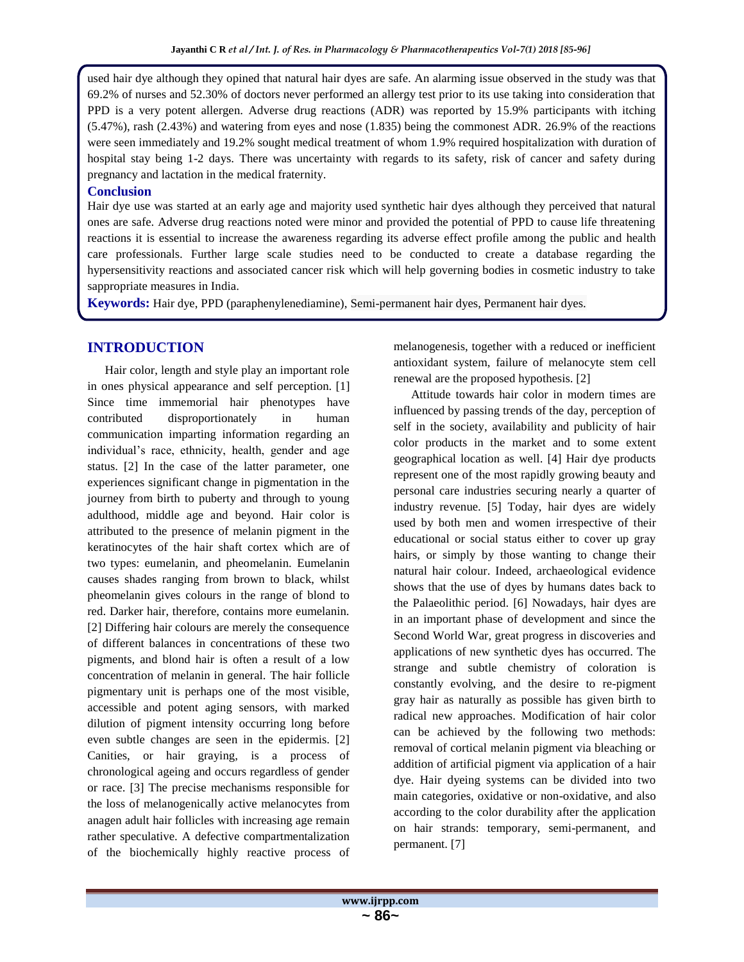used hair dye although they opined that natural hair dyes are safe. An alarming issue observed in the study was that 69.2% of nurses and 52.30% of doctors never performed an allergy test prior to its use taking into consideration that PPD is a very potent allergen. Adverse drug reactions (ADR) was reported by 15.9% participants with itching (5.47%), rash (2.43%) and watering from eyes and nose (1.835) being the commonest ADR. 26.9% of the reactions were seen immediately and 19.2% sought medical treatment of whom 1.9% required hospitalization with duration of hospital stay being 1-2 days. There was uncertainty with regards to its safety, risk of cancer and safety during pregnancy and lactation in the medical fraternity.

### **Conclusion**

Hair dye use was started at an early age and majority used synthetic hair dyes although they perceived that natural ones are safe. Adverse drug reactions noted were minor and provided the potential of PPD to cause life threatening reactions it is essential to increase the awareness regarding its adverse effect profile among the public and health care professionals. Further large scale studies need to be conducted to create a database regarding the hypersensitivity reactions and associated cancer risk which will help governing bodies in cosmetic industry to take sappropriate measures in India.

**Keywords:** Hair dye, PPD (paraphenylenediamine), Semi-permanent hair dyes, Permanent hair dyes.

## **INTRODUCTION**

Hair color, length and style play an important role in ones physical appearance and self perception. [1] Since time immemorial hair phenotypes have contributed disproportionately in human communication imparting information regarding an individual's race, ethnicity, health, gender and age status. [2] In the case of the latter parameter, one experiences significant change in pigmentation in the journey from birth to puberty and through to young adulthood, middle age and beyond. Hair color is attributed to the presence of melanin pigment in the keratinocytes of the hair shaft cortex which are of two types: eumelanin, and pheomelanin. Eumelanin causes shades ranging from brown to black, whilst pheomelanin gives colours in the range of blond to red. Darker hair, therefore, contains more eumelanin. [2] Differing hair colours are merely the consequence of different balances in concentrations of these two pigments, and blond hair is often a result of a low concentration of melanin in general. The hair follicle pigmentary unit is perhaps one of the most visible, accessible and potent aging sensors, with marked dilution of pigment intensity occurring long before even subtle changes are seen in the epidermis. [2] Canities, or hair graying, is a process of chronological ageing and occurs regardless of gender or race. [3] The precise mechanisms responsible for the loss of melanogenically active melanocytes from anagen adult hair follicles with increasing age remain rather speculative. A defective compartmentalization of the biochemically highly reactive process of melanogenesis, together with a reduced or inefficient antioxidant system, failure of melanocyte stem cell renewal are the proposed hypothesis. [2]

Attitude towards hair color in modern times are influenced by passing trends of the day, perception of self in the society, availability and publicity of hair color products in the market and to some extent geographical location as well. [4] Hair dye products represent one of the most rapidly growing beauty and personal care industries securing nearly a quarter of industry revenue. [5] Today, hair dyes are widely used by both men and women irrespective of their educational or social status either to cover up gray hairs, or simply by those wanting to change their natural hair colour. Indeed, archaeological evidence shows that the use of dyes by humans dates back to the Palaeolithic period. [6] Nowadays, hair dyes are in an important phase of development and since the Second World War, great progress in discoveries and applications of new synthetic dyes has occurred. The strange and subtle chemistry of coloration is constantly evolving, and the desire to re-pigment gray hair as naturally as possible has given birth to radical new approaches. Modification of hair color can be achieved by the following two methods: removal of cortical melanin pigment via bleaching or addition of artificial pigment via application of a hair dye. Hair dyeing systems can be divided into two main categories, oxidative or non-oxidative, and also according to the color durability after the application on hair strands: temporary, semi-permanent, and permanent. [7]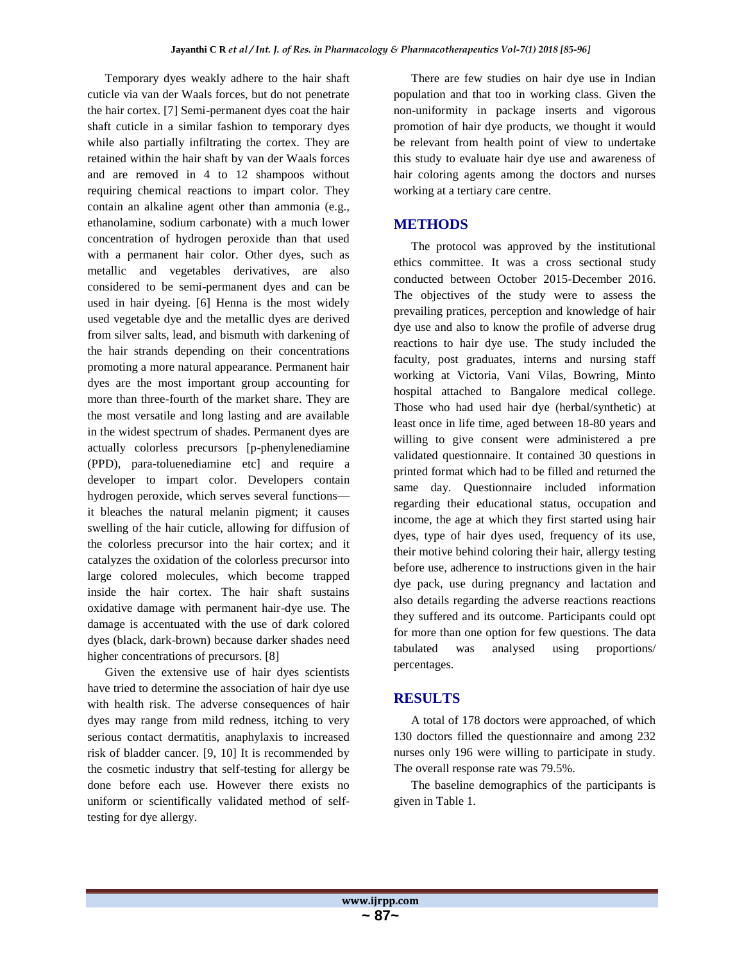Temporary dyes weakly adhere to the hair shaft cuticle via van der Waals forces, but do not penetrate the hair cortex. [7] Semi-permanent dyes coat the hair shaft cuticle in a similar fashion to temporary dyes while also partially infiltrating the cortex. They are retained within the hair shaft by van der Waals forces and are removed in 4 to 12 shampoos without requiring chemical reactions to impart color. They contain an alkaline agent other than ammonia (e.g., ethanolamine, sodium carbonate) with a much lower concentration of hydrogen peroxide than that used with a permanent hair color. Other dyes, such as metallic and vegetables derivatives, are also considered to be semi-permanent dyes and can be used in hair dyeing. [6] Henna is the most widely used vegetable dye and the metallic dyes are derived from silver salts, lead, and bismuth with darkening of the hair strands depending on their concentrations promoting a more natural appearance. Permanent hair dyes are the most important group accounting for more than three-fourth of the market share. They are the most versatile and long lasting and are available in the widest spectrum of shades. Permanent dyes are actually colorless precursors [p-phenylenediamine (PPD), para-toluenediamine etc] and require a developer to impart color. Developers contain hydrogen peroxide, which serves several functions it bleaches the natural melanin pigment; it causes swelling of the hair cuticle, allowing for diffusion of the colorless precursor into the hair cortex; and it catalyzes the oxidation of the colorless precursor into large colored molecules, which become trapped inside the hair cortex. The hair shaft sustains oxidative damage with permanent hair-dye use. The damage is accentuated with the use of dark colored dyes (black, dark-brown) because darker shades need higher concentrations of precursors. [8]

Given the extensive use of hair dyes scientists have tried to determine the association of hair dye use with health risk. The adverse consequences of hair dyes may range from mild redness, itching to very serious contact dermatitis, anaphylaxis to increased risk of bladder cancer. [9, 10] It is recommended by the cosmetic industry that self-testing for allergy be done before each use. However there exists no uniform or scientifically validated method of selftesting for dye allergy.

There are few studies on hair dye use in Indian population and that too in working class. Given the non-uniformity in package inserts and vigorous promotion of hair dye products, we thought it would be relevant from health point of view to undertake this study to evaluate hair dye use and awareness of hair coloring agents among the doctors and nurses working at a tertiary care centre.

## **METHODS**

The protocol was approved by the institutional ethics committee. It was a cross sectional study conducted between October 2015-December 2016. The objectives of the study were to assess the prevailing pratices, perception and knowledge of hair dye use and also to know the profile of adverse drug reactions to hair dye use. The study included the faculty, post graduates, interns and nursing staff working at Victoria, Vani Vilas, Bowring, Minto hospital attached to Bangalore medical college. Those who had used hair dye (herbal/synthetic) at least once in life time, aged between 18-80 years and willing to give consent were administered a pre validated questionnaire. It contained 30 questions in printed format which had to be filled and returned the same day. Questionnaire included information regarding their educational status, occupation and income, the age at which they first started using hair dyes, type of hair dyes used, frequency of its use, their motive behind coloring their hair, allergy testing before use, adherence to instructions given in the hair dye pack, use during pregnancy and lactation and also details regarding the adverse reactions reactions they suffered and its outcome. Participants could opt for more than one option for few questions. The data tabulated was analysed using proportions/ percentages.

## **RESULTS**

A total of 178 doctors were approached, of which 130 doctors filled the questionnaire and among 232 nurses only 196 were willing to participate in study. The overall response rate was 79.5%.

The baseline demographics of the participants is given in Table 1.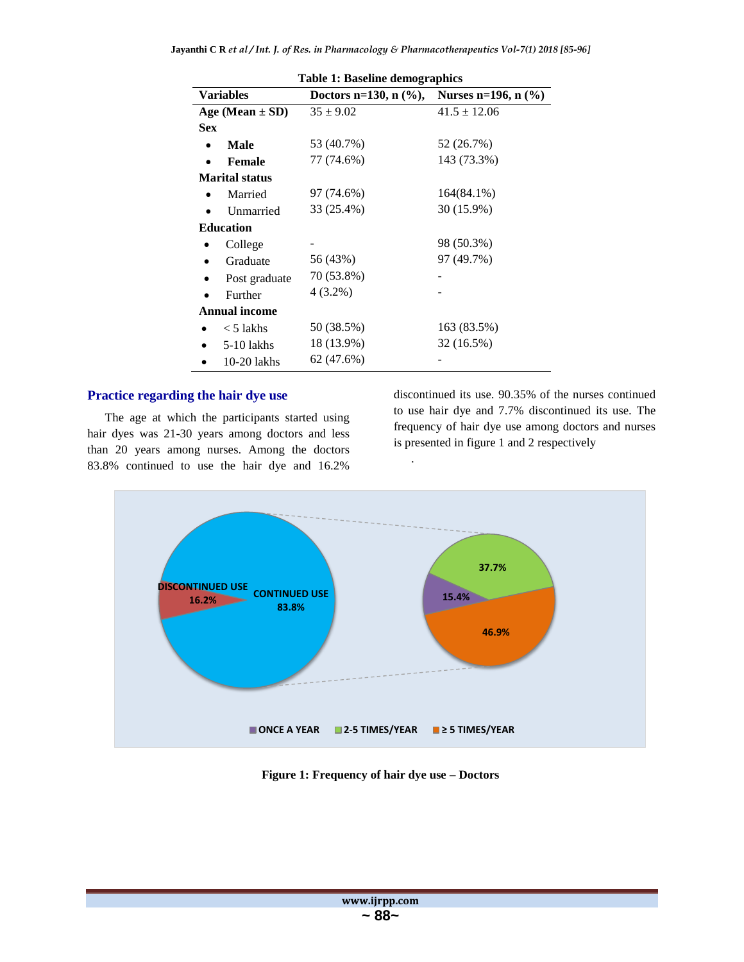| <b>Table 1: Baseline demographics</b> |               |                          |                           |  |
|---------------------------------------|---------------|--------------------------|---------------------------|--|
| <b>Variables</b>                      |               | Doctors n=130, n $(\%),$ | Nurses n=196, $n$ $(\% )$ |  |
| Age (Mean $\pm$ SD)                   |               | $35 \pm 9.02$            | $41.5 \pm 12.06$          |  |
| <b>Sex</b>                            |               |                          |                           |  |
|                                       | Male          | 53 (40.7%)               | 52 (26.7%)                |  |
|                                       | <b>Female</b> | 77 (74.6%)               | 143 (73.3%)               |  |
| <b>Marital status</b>                 |               |                          |                           |  |
|                                       | Married       | 97 (74.6%)               | 164(84.1%)                |  |
|                                       | Unmarried     | 33 (25.4%)               | 30 (15.9%)                |  |
| <b>Education</b>                      |               |                          |                           |  |
|                                       | College       |                          | 98 (50.3%)                |  |
| $\bullet$                             | Graduate      | 56 (43%)                 | 97 (49.7%)                |  |
| $\bullet$                             | Post graduate | 70 (53.8%)               |                           |  |
|                                       | Further       | 4 (3.2%)                 |                           |  |
| <b>Annual income</b>                  |               |                          |                           |  |
|                                       | $<$ 5 lakhs   | 50 (38.5%)               | 163 (83.5%)               |  |
|                                       | 5-10 lakhs    | 18 (13.9%)               | 32 (16.5%)                |  |
|                                       | $10-20$ lakhs | 62 (47.6%)               |                           |  |

## **Practice regarding the hair dye use**

The age at which the participants started using hair dyes was 21-30 years among doctors and less than 20 years among nurses. Among the doctors 83.8% continued to use the hair dye and 16.2%

discontinued its use. 90.35% of the nurses continued to use hair dye and 7.7% discontinued its use. The frequency of hair dye use among doctors and nurses is presented in figure 1 and 2 respectively



.

**Figure 1: Frequency of hair dye use – Doctors**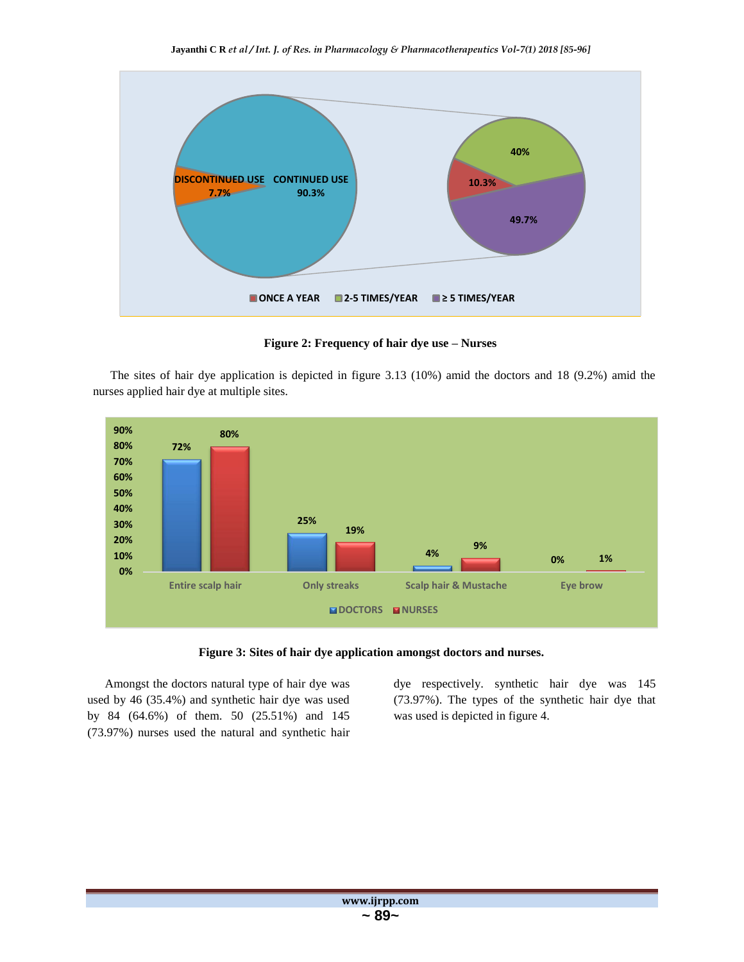

**Figure 2: Frequency of hair dye use – Nurses**

The sites of hair dye application is depicted in figure 3.13 (10%) amid the doctors and 18 (9.2%) amid the nurses applied hair dye at multiple sites.





Amongst the doctors natural type of hair dye was used by 46 (35.4%) and synthetic hair dye was used by 84 (64.6%) of them. 50 (25.51%) and 145 (73.97%) nurses used the natural and synthetic hair dye respectively. synthetic hair dye was 145 (73.97%). The types of the synthetic hair dye that was used is depicted in figure 4.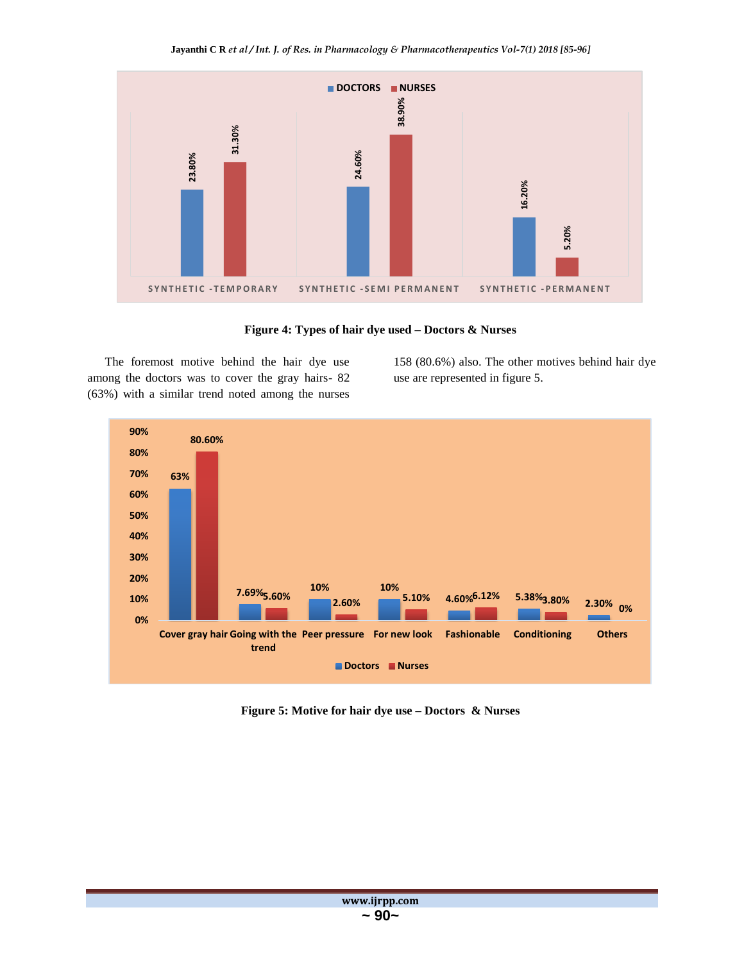

**Figure 4: Types of hair dye used – Doctors & Nurses**

The foremost motive behind the hair dye use among the doctors was to cover the gray hairs- 82 (63%) with a similar trend noted among the nurses

158 (80.6%) also. The other motives behind hair dye use are represented in figure 5.



**Figure 5: Motive for hair dye use – Doctors & Nurses**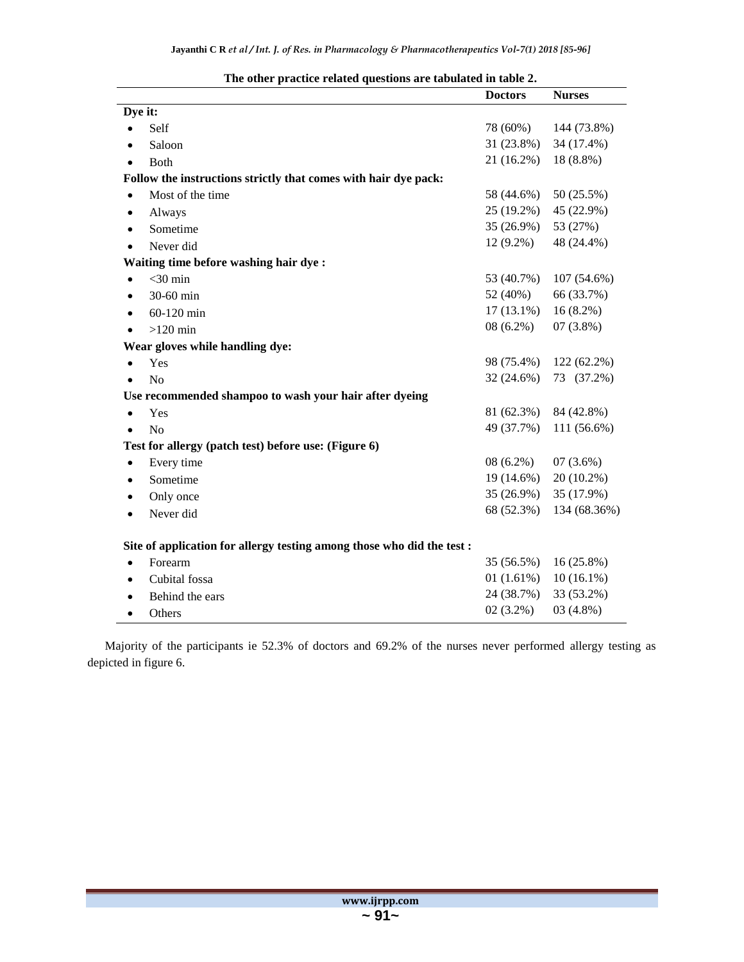|                                                                        | <b>Doctors</b> | <b>Nurses</b> |
|------------------------------------------------------------------------|----------------|---------------|
| Dye it:                                                                |                |               |
| Self<br>$\bullet$                                                      | 78 (60%)       | 144 (73.8%)   |
| Saloon<br>٠                                                            | 31 (23.8%)     | 34 (17.4%)    |
| <b>Both</b>                                                            | 21 (16.2%)     | 18 (8.8%)     |
| Follow the instructions strictly that comes with hair dye pack:        |                |               |
| Most of the time<br>$\bullet$                                          | 58 (44.6%)     | 50 (25.5%)    |
| Always<br>٠                                                            | 25 (19.2%)     | 45 (22.9%)    |
| Sometime<br>٠                                                          | 35 (26.9%)     | 53 (27%)      |
| Never did<br>$\bullet$                                                 | $12(9.2\%)$    | 48 (24.4%)    |
| Waiting time before washing hair dye:                                  |                |               |
| $<$ 30 min                                                             | 53 (40.7%)     | 107 (54.6%)   |
| 30-60 min                                                              | 52 (40%)       | 66 (33.7%)    |
| 60-120 min<br>٠                                                        | $17(13.1\%)$   | $16(8.2\%)$   |
| $>120$ min<br>$\bullet$                                                | $08(6.2\%)$    | $07(3.8\%)$   |
| Wear gloves while handling dye:                                        |                |               |
| Yes<br>$\bullet$                                                       | 98 (75.4%)     | 122 (62.2%)   |
| N <sub>o</sub>                                                         | 32 (24.6%)     | 73 (37.2%)    |
| Use recommended shampoo to wash your hair after dyeing                 |                |               |
| Yes<br>$\bullet$                                                       | 81 (62.3%)     | 84 (42.8%)    |
| No<br>$\bullet$                                                        | 49 (37.7%)     | 111 (56.6%)   |
| Test for allergy (patch test) before use: (Figure 6)                   |                |               |
| Every time<br>$\bullet$                                                | $08(6.2\%)$    | 07(3.6%)      |
| Sometime<br>٠                                                          | 19 (14.6%)     | 20 (10.2%)    |
| Only once                                                              | 35 (26.9%)     | 35 (17.9%)    |
| Never did<br>$\bullet$                                                 | 68 (52.3%)     | 134 (68.36%)  |
| Site of application for allergy testing among those who did the test : |                |               |
| Forearm<br>$\bullet$                                                   | 35 (56.5%)     | $16(25.8\%)$  |
| Cubital fossa<br>٠                                                     | 01(1.61%)      | $10(16.1\%)$  |
| Behind the ears<br>$\bullet$                                           | 24 (38.7%)     | 33 (53.2%)    |
| Others<br>٠                                                            | $02(3.2\%)$    | 03(4.8%)      |

## **The other practice related questions are tabulated in table 2.**

Majority of the participants ie 52.3% of doctors and 69.2% of the nurses never performed allergy testing as depicted in figure 6.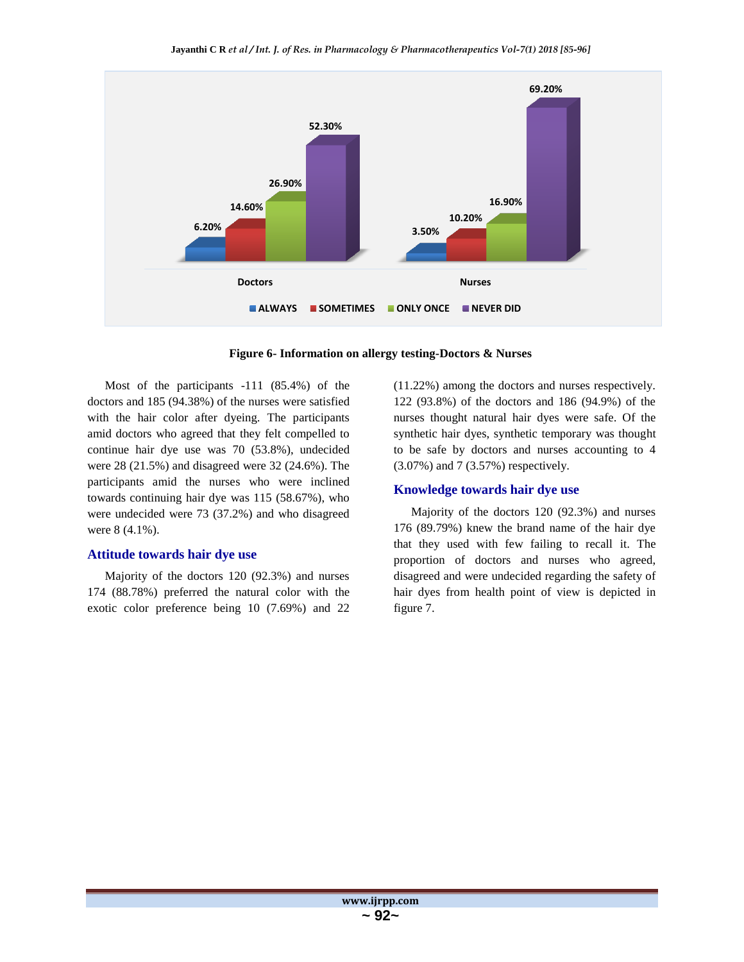

**Figure 6- Information on allergy testing-Doctors & Nurses**

Most of the participants -111 (85.4%) of the doctors and 185 (94.38%) of the nurses were satisfied with the hair color after dyeing. The participants amid doctors who agreed that they felt compelled to continue hair dye use was 70 (53.8%), undecided were 28 (21.5%) and disagreed were 32 (24.6%). The participants amid the nurses who were inclined towards continuing hair dye was 115 (58.67%), who were undecided were 73 (37.2%) and who disagreed were 8 (4.1%).

### **Attitude towards hair dye use**

Majority of the doctors 120 (92.3%) and nurses 174 (88.78%) preferred the natural color with the exotic color preference being 10 (7.69%) and 22

(11.22%) among the doctors and nurses respectively. 122 (93.8%) of the doctors and 186 (94.9%) of the nurses thought natural hair dyes were safe. Of the synthetic hair dyes, synthetic temporary was thought to be safe by doctors and nurses accounting to 4 (3.07%) and 7 (3.57%) respectively.

## **Knowledge towards hair dye use**

Majority of the doctors 120 (92.3%) and nurses 176 (89.79%) knew the brand name of the hair dye that they used with few failing to recall it. The proportion of doctors and nurses who agreed, disagreed and were undecided regarding the safety of hair dyes from health point of view is depicted in figure 7.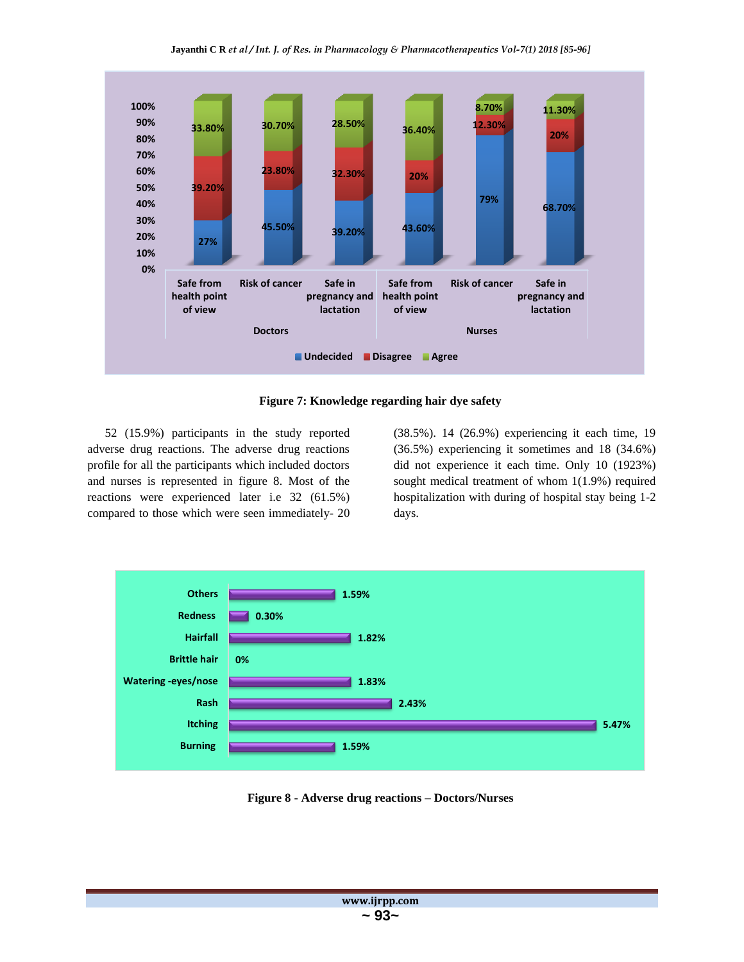

**Figure 7: Knowledge regarding hair dye safety**

52 (15.9%) participants in the study reported adverse drug reactions. The adverse drug reactions profile for all the participants which included doctors and nurses is represented in figure 8. Most of the reactions were experienced later i.e 32 (61.5%) compared to those which were seen immediately- 20 (38.5%). 14 (26.9%) experiencing it each time, 19 (36.5%) experiencing it sometimes and 18 (34.6%) did not experience it each time. Only 10 (1923%) sought medical treatment of whom 1(1.9%) required hospitalization with during of hospital stay being 1-2 days.



**Figure 8 - Adverse drug reactions – Doctors/Nurses**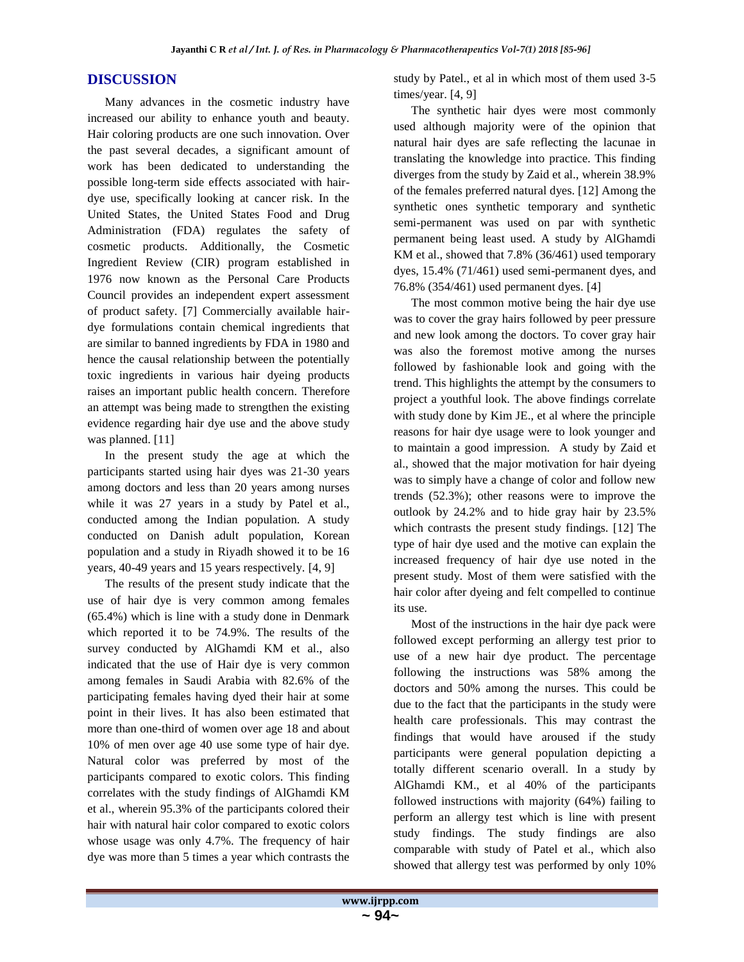## **DISCUSSION**

Many advances in the cosmetic industry have increased our ability to enhance youth and beauty. Hair coloring products are one such innovation. Over the past several decades, a significant amount of work has been dedicated to understanding the possible long-term side effects associated with hairdye use, specifically looking at cancer risk. In the United States, the United States Food and Drug Administration (FDA) regulates the safety of cosmetic products. Additionally, the Cosmetic Ingredient Review (CIR) program established in 1976 now known as the Personal Care Products Council provides an independent expert assessment of product safety. [7] Commercially available hairdye formulations contain chemical ingredients that are similar to banned ingredients by FDA in 1980 and hence the causal relationship between the potentially toxic ingredients in various hair dyeing products raises an important public health concern. Therefore an attempt was being made to strengthen the existing evidence regarding hair dye use and the above study was planned. [11]

In the present study the age at which the participants started using hair dyes was 21-30 years among doctors and less than 20 years among nurses while it was 27 years in a study by Patel et al., conducted among the Indian population. A study conducted on Danish adult population, Korean population and a study in Riyadh showed it to be 16 years, 40-49 years and 15 years respectively. [4, 9]

The results of the present study indicate that the use of hair dye is very common among females (65.4%) which is line with a study done in Denmark which reported it to be 74.9%. The results of the survey conducted by AlGhamdi KM et al., also indicated that the use of Hair dye is very common among females in Saudi Arabia with 82.6% of the participating females having dyed their hair at some point in their lives. It has also been estimated that more than one-third of women over age 18 and about 10% of men over age 40 use some type of hair dye. Natural color was preferred by most of the participants compared to exotic colors. This finding correlates with the study findings of AlGhamdi KM et al., wherein 95.3% of the participants colored their hair with natural hair color compared to exotic colors whose usage was only 4.7%. The frequency of hair dye was more than 5 times a year which contrasts the

study by Patel., et al in which most of them used 3-5 times/year. [4, 9]

The synthetic hair dyes were most commonly used although majority were of the opinion that natural hair dyes are safe reflecting the lacunae in translating the knowledge into practice. This finding diverges from the study by Zaid et al., wherein 38.9% of the females preferred natural dyes. [12] Among the synthetic ones synthetic temporary and synthetic semi-permanent was used on par with synthetic permanent being least used. A study by AlGhamdi KM et al., showed that 7.8% (36/461) used temporary dyes, 15.4% (71/461) used semi-permanent dyes, and 76.8% (354/461) used permanent dyes. [4]

The most common motive being the hair dye use was to cover the gray hairs followed by peer pressure and new look among the doctors. To cover gray hair was also the foremost motive among the nurses followed by fashionable look and going with the trend. This highlights the attempt by the consumers to project a youthful look. The above findings correlate with study done by Kim JE., et al where the principle reasons for hair dye usage were to look younger and to maintain a good impression. A study by Zaid et al., showed that the major motivation for hair dyeing was to simply have a change of color and follow new trends (52.3%); other reasons were to improve the outlook by 24.2% and to hide gray hair by 23.5% which contrasts the present study findings. [12] The type of hair dye used and the motive can explain the increased frequency of hair dye use noted in the present study. Most of them were satisfied with the hair color after dyeing and felt compelled to continue its use.

Most of the instructions in the hair dye pack were followed except performing an allergy test prior to use of a new hair dye product. The percentage following the instructions was 58% among the doctors and 50% among the nurses. This could be due to the fact that the participants in the study were health care professionals. This may contrast the findings that would have aroused if the study participants were general population depicting a totally different scenario overall. In a study by AlGhamdi KM., et al 40% of the participants followed instructions with majority (64%) failing to perform an allergy test which is line with present study findings. The study findings are also comparable with study of Patel et al., which also showed that allergy test was performed by only 10%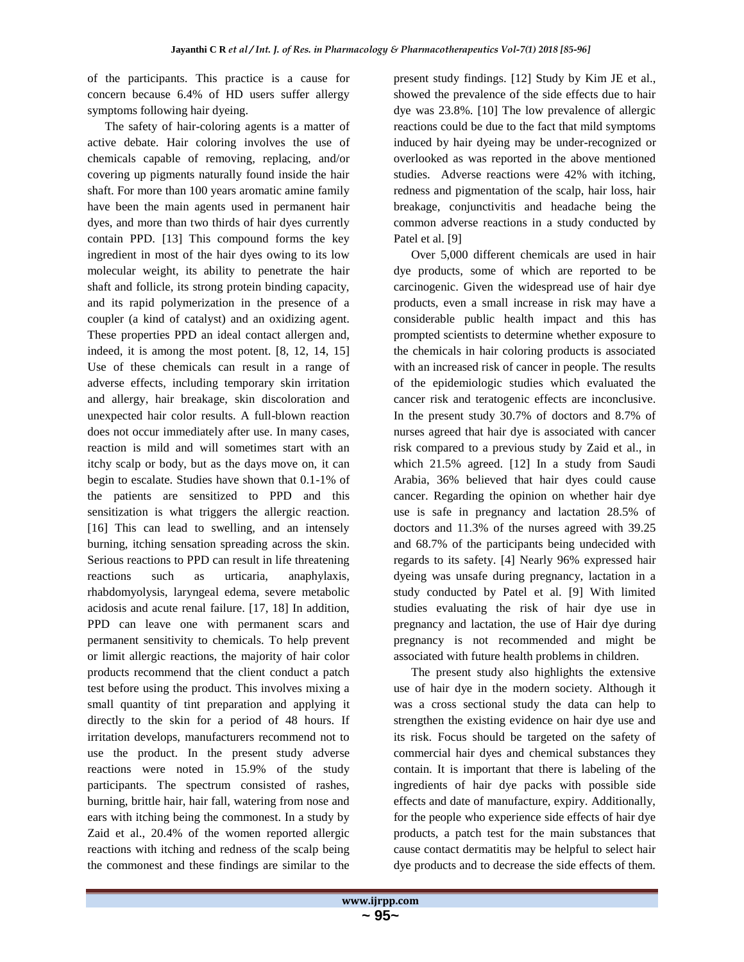of the participants. This practice is a cause for concern because 6.4% of HD users suffer allergy symptoms following hair dyeing.

The safety of hair-coloring agents is a matter of active debate. Hair coloring involves the use of chemicals capable of removing, replacing, and/or covering up pigments naturally found inside the hair shaft. For more than 100 years aromatic amine family have been the main agents used in permanent hair dyes, and more than two thirds of hair dyes currently contain PPD. [13] This compound forms the key ingredient in most of the hair dyes owing to its low molecular weight, its ability to penetrate the hair shaft and follicle, its strong protein binding capacity, and its rapid polymerization in the presence of a coupler (a kind of catalyst) and an oxidizing agent. These properties PPD an ideal contact allergen and, indeed, it is among the most potent. [8, 12, 14, 15] Use of these chemicals can result in a range of adverse effects, including temporary skin irritation and allergy, hair breakage, skin discoloration and unexpected hair color results. A full-blown reaction does not occur immediately after use. In many cases, reaction is mild and will sometimes start with an itchy scalp or body, but as the days move on, it can begin to escalate. Studies have shown that 0.1-1% of the patients are sensitized to PPD and this sensitization is what triggers the allergic reaction. [16] This can lead to swelling, and an intensely burning, itching sensation spreading across the skin. Serious reactions to PPD can result in life threatening reactions such as urticaria, anaphylaxis, rhabdomyolysis, laryngeal edema, severe metabolic acidosis and acute renal failure. [17, 18] In addition, PPD can leave one with permanent scars and permanent sensitivity to chemicals. To help prevent or limit allergic reactions, the majority of hair color products recommend that the client conduct a patch test before using the product. This involves mixing a small quantity of tint preparation and applying it directly to the skin for a period of 48 hours. If irritation develops, manufacturers recommend not to use the product. In the present study adverse reactions were noted in 15.9% of the study participants. The spectrum consisted of rashes, burning, brittle hair, hair fall, watering from nose and ears with itching being the commonest. In a study by Zaid et al., 20.4% of the women reported allergic reactions with itching and redness of the scalp being the commonest and these findings are similar to the

present study findings. [12] Study by Kim JE et al., showed the prevalence of the side effects due to hair dye was 23.8%. [10] The low prevalence of allergic reactions could be due to the fact that mild symptoms induced by hair dyeing may be under-recognized or overlooked as was reported in the above mentioned studies. Adverse reactions were 42% with itching, redness and pigmentation of the scalp, hair loss, hair breakage, conjunctivitis and headache being the common adverse reactions in a study conducted by Patel et al. [9]

Over 5,000 different chemicals are used in hair dye products, some of which are reported to be carcinogenic. Given the widespread use of hair dye products, even a small increase in risk may have a considerable public health impact and this has prompted scientists to determine whether exposure to the chemicals in hair coloring products is associated with an increased risk of cancer in people. The results of the epidemiologic studies which evaluated the cancer risk and teratogenic effects are inconclusive. In the present study 30.7% of doctors and 8.7% of nurses agreed that hair dye is associated with cancer risk compared to a previous study by Zaid et al., in which 21.5% agreed. [12] In a study from Saudi Arabia, 36% believed that hair dyes could cause cancer. Regarding the opinion on whether hair dye use is safe in pregnancy and lactation 28.5% of doctors and 11.3% of the nurses agreed with 39.25 and 68.7% of the participants being undecided with regards to its safety. [4] Nearly 96% expressed hair dyeing was unsafe during pregnancy, lactation in a study conducted by Patel et al. [9] With limited studies evaluating the risk of hair dye use in pregnancy and lactation, the use of Hair dye during pregnancy is not recommended and might be associated with future health problems in children.

The present study also highlights the extensive use of hair dye in the modern society. Although it was a cross sectional study the data can help to strengthen the existing evidence on hair dye use and its risk. Focus should be targeted on the safety of commercial hair dyes and chemical substances they contain. It is important that there is labeling of the ingredients of hair dye packs with possible side effects and date of manufacture, expiry. Additionally, for the people who experience side effects of hair dye products, a patch test for the main substances that cause contact dermatitis may be helpful to select hair dye products and to decrease the side effects of them.